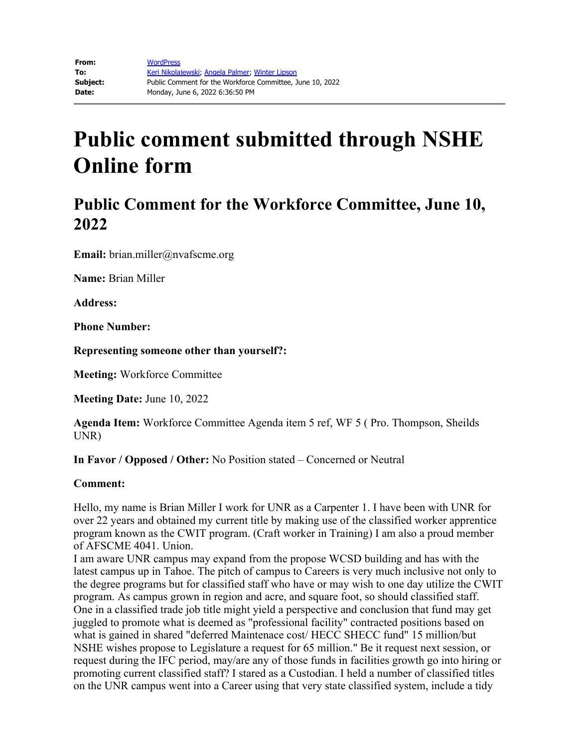# **Public comment submitted through NSHE Online form**

# **Public Comment for the Workforce Committee, June 10, 2022**

**Email:** brian.miller@nvafscme.org

**Name:** Brian Miller

**Address:** 

**Phone Number:** 

**Representing someone other than yourself?:**

**Meeting:** Workforce Committee

**Meeting Date:** June 10, 2022

**Agenda Item:** Workforce Committee Agenda item 5 ref, WF 5 ( Pro. Thompson, Sheilds UNR)

**In Favor / Opposed / Other:** No Position stated – Concerned or Neutral

### **Comment:**

Hello, my name is Brian Miller I work for UNR as a Carpenter 1. I have been with UNR for over 22 years and obtained my current title by making use of the classified worker apprentice program known as the CWIT program. (Craft worker in Training) I am also a proud member of AFSCME 4041. Union.

I am aware UNR campus may expand from the propose WCSD building and has with the latest campus up in Tahoe. The pitch of campus to Careers is very much inclusive not only to the degree programs but for classified staff who have or may wish to one day utilize the CWIT program. As campus grown in region and acre, and square foot, so should classified staff. One in a classified trade job title might yield a perspective and conclusion that fund may get juggled to promote what is deemed as "professional facility" contracted positions based on what is gained in shared "deferred Maintenace cost/ HECC SHECC fund" 15 million/but NSHE wishes propose to Legislature a request for 65 million." Be it request next session, or request during the IFC period, may/are any of those funds in facilities growth go into hiring or promoting current classified staff? I stared as a Custodian. I held a number of classified titles on the UNR campus went into a Career using that very state classified system, include a tidy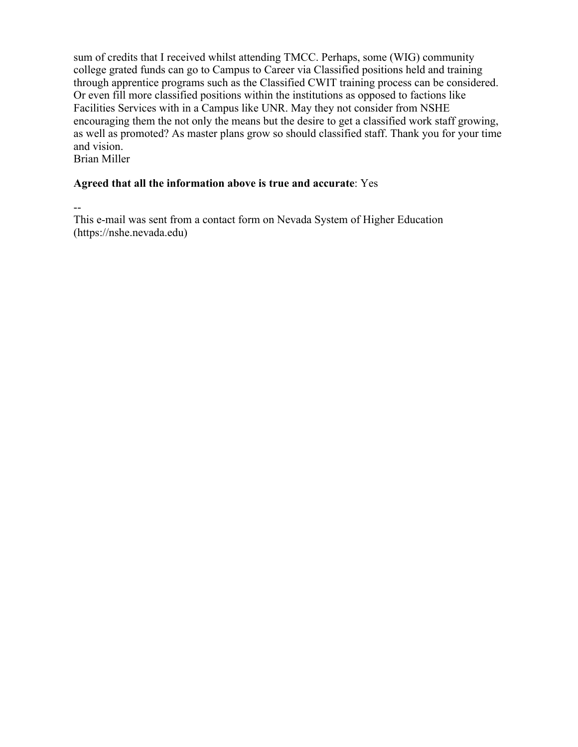sum of credits that I received whilst attending TMCC. Perhaps, some (WIG) community college grated funds can go to Campus to Career via Classified positions held and training through apprentice programs such as the Classified CWIT training process can be considered. Or even fill more classified positions within the institutions as opposed to factions like Facilities Services with in a Campus like UNR. May they not consider from NSHE encouraging them the not only the means but the desire to get a classified work staff growing, as well as promoted? As master plans grow so should classified staff. Thank you for your time and vision.

Brian Miller

### **Agreed that all the information above is true and accurate**: Yes

--

This e-mail was sent from a contact form on Nevada System of Higher Education (https://nshe.nevada.edu)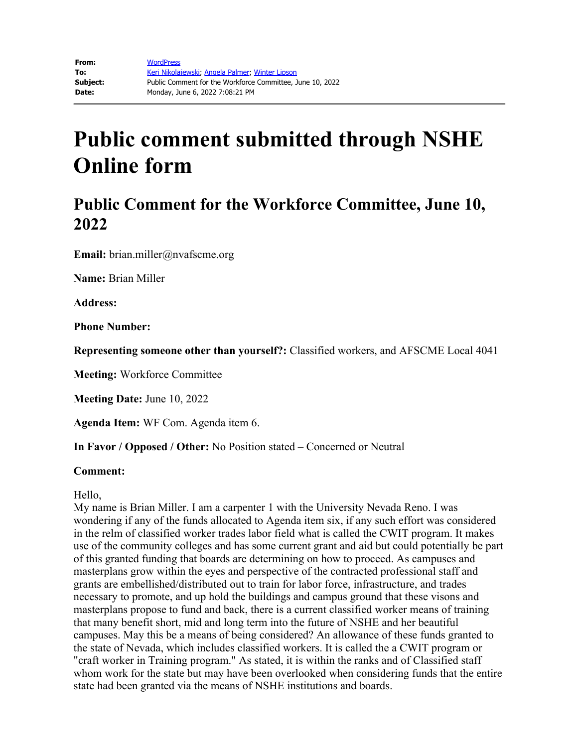# **Public comment submitted through NSHE Online form**

# **Public Comment for the Workforce Committee, June 10, 2022**

**Email:** brian.miller@nvafscme.org

**Name:** Brian Miller

**Address:** 

**Phone Number:** 

**Representing someone other than yourself?:** Classified workers, and AFSCME Local 4041

**Meeting:** Workforce Committee

**Meeting Date:** June 10, 2022

**Agenda Item:** WF Com. Agenda item 6.

**In Favor / Opposed / Other:** No Position stated – Concerned or Neutral

#### **Comment:**

Hello,

My name is Brian Miller. I am a carpenter 1 with the University Nevada Reno. I was wondering if any of the funds allocated to Agenda item six, if any such effort was considered in the relm of classified worker trades labor field what is called the CWIT program. It makes use of the community colleges and has some current grant and aid but could potentially be part of this granted funding that boards are determining on how to proceed. As campuses and masterplans grow within the eyes and perspective of the contracted professional staff and grants are embellished/distributed out to train for labor force, infrastructure, and trades necessary to promote, and up hold the buildings and campus ground that these visons and masterplans propose to fund and back, there is a current classified worker means of training that many benefit short, mid and long term into the future of NSHE and her beautiful campuses. May this be a means of being considered? An allowance of these funds granted to the state of Nevada, which includes classified workers. It is called the a CWIT program or "craft worker in Training program." As stated, it is within the ranks and of Classified staff whom work for the state but may have been overlooked when considering funds that the entire state had been granted via the means of NSHE institutions and boards.